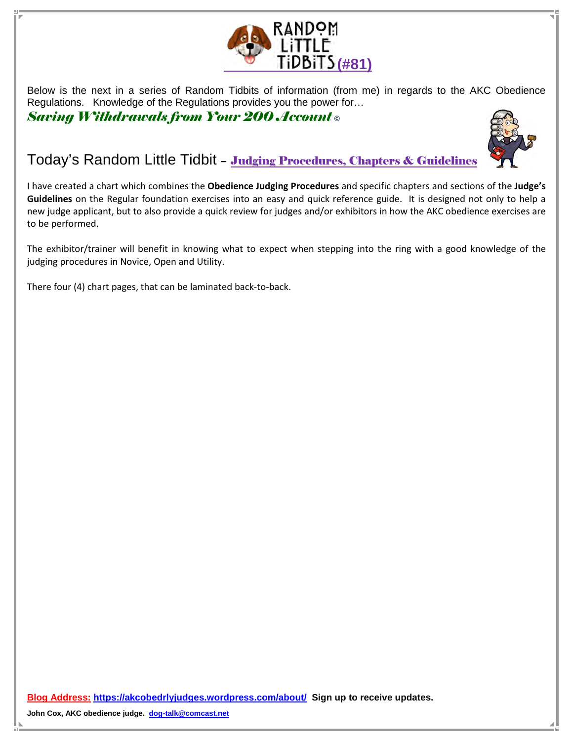

Below is the next in a series of Random Tidbits of information (from me) in regards to the AKC Obedience Regulations. Knowledge of the Regulations provides you the power for…

Saving Withdrawals from Your 200 Account **©** 



## Today's Random Little Tidbit – Judging Procedures, Chapters & Guidelines

I have created a chart which combines the Obedience Judging Procedures and specific chapters and sections of the Judge's Guidelines on the Regular foundation exercises into an easy and quick reference guide. It is designed not only to help a new judge applicant, but to also provide a quick review for judges and/or exhibitors in how the AKC obedience exercises are to be performed.

The exhibitor/trainer will benefit in knowing what to expect when stepping into the ring with a good knowledge of the judging procedures in Novice, Open and Utility.

There four (4) chart pages, that can be laminated back-to-back.

**Blog Address: https://akcobedrlyjudges.wordpress.com/about/ Sign up to receive updates.**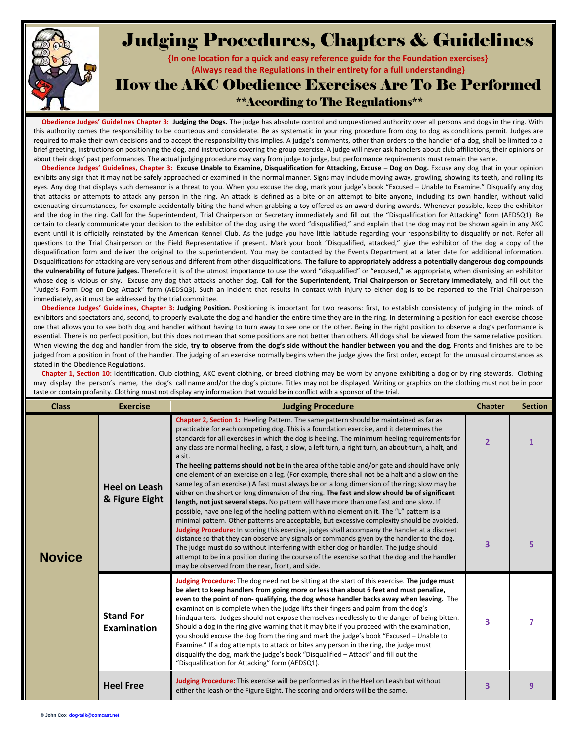

## Judging Procedures, Chapters & Guidelines

{In one location for a quick and easy reference guide for the Foundation exercises} {Always read the Regulations in their entirety for a full understanding}

How the AKC Obedience Exercises Are To Be Performed

## \*\*According to The Regulations\*\*

Obedience Judges' Guidelines Chapter 3: Judging the Dogs. The judge has absolute control and unquestioned authority over all persons and dogs in the ring. With this authority comes the responsibility to be courteous and considerate. Be as systematic in your ring procedure from dog to dog as conditions permit. Judges are required to make their own decisions and to accept the responsibility this implies. A judge's comments, other than orders to the handler of a dog, shall be limited to a brief greeting, instructions on positioning the dog, and instructions covering the group exercise. A judge will never ask handlers about club affiliations, their opinions or about their dogs' past performances. The actual judging procedure may vary from judge to judge, but performance requirements must remain the same.

Obedience Judges' Guidelines, Chapter 3: Excuse Unable to Examine, Disqualification for Attacking, Excuse – Dog on Dog. Excuse any dog that in your opinion exhibits any sign that it may not be safely approached or examined in the normal manner. Signs may include moving away, growling, showing its teeth, and rolling its eyes. Any dog that displays such demeanor is a threat to you. When you excuse the dog, mark your judge's book "Excused – Unable to Examine." Disqualify any dog that attacks or attempts to attack any person in the ring. An attack is defined as a bite or an attempt to bite anyone, including its own handler, without valid extenuating circumstances, for example accidentally biting the hand when grabbing a toy offered as an award during awards. Whenever possible, keep the exhibitor and the dog in the ring. Call for the Superintendent, Trial Chairperson or Secretary immediately and fill out the "Disqualification for Attacking" form (AEDSQ1). Be certain to clearly communicate your decision to the exhibitor of the dog using the word "disqualified," and explain that the dog may not be shown again in any AKC event until it is officially reinstated by the American Kennel Club. As the judge you have little latitude regarding your responsibility to disqualify or not. Refer all questions to the Trial Chairperson or the Field Representative if present. Mark your book "Disqualified, attacked," give the exhibitor of the dog a copy of the disqualification form and deliver the original to the superintendent. You may be contacted by the Events Department at a later date for additional information. Disqualifications for attacking are very serious and different from other disqualifications. The failure to appropriately address a potentially dangerous dog compounds the vulnerability of future judges. Therefore it is of the utmost importance to use the word "disqualified" or "excused," as appropriate, when dismissing an exhibitor whose dog is vicious or shy. Excuse any dog that attacks another dog. Call for the Superintendent, Trial Chairperson or Secretary immediately, and fill out the "Judge's Form Dog on Dog Attack" form (AEDSQ3). Such an incident that results in contact with injury to either dog is to be reported to the Trial Chairperson immediately, as it must be addressed by the trial committee.

Obedience Judges' Guidelines, Chapter 3: Judging Position. Positioning is important for two reasons: first, to establish consistency of judging in the minds of exhibitors and spectators and, second, to properly evaluate the dog and handler the entire time they are in the ring. In determining a position for each exercise choose one that allows you to see both dog and handler without having to turn away to see one or the other. Being in the right position to observe a dog's performance is essential. There is no perfect position, but this does not mean that some positions are not better than others. All dogs shall be viewed from the same relative position. When viewing the dog and handler from the side, try to observe from the dog's side without the handler between you and the dog. Fronts and finishes are to be judged from a position in front of the handler. The judging of an exercise normally begins when the judge gives the first order, except for the unusual circumstances as stated in the Obedience Regulations.

Chapter 1, Section 10: Identification. Club clothing, AKC event clothing, or breed clothing may be worn by anyone exhibiting a dog or by ring stewards. Clothing may display the person's name, the dog's call name and/or the dog's picture. Titles may not be displayed. Writing or graphics on the clothing must not be in poor taste or contain profanity. Clothing must not display any information that would be in conflict with a sponsor of the trial.

| <b>Class</b>  | <b>Exercise</b>                        | <b>Judging Procedure</b>                                                                                                                                                                                                                                                                                                                                                                                                                                                                                                                                                                                                                                                                                                                                                                                                                                                                                                                                                                                                                                                                                                                                                                                                                                                                                                                                                                                                                                                                                                                           | <b>Chapter</b>      | <b>Section</b> |
|---------------|----------------------------------------|----------------------------------------------------------------------------------------------------------------------------------------------------------------------------------------------------------------------------------------------------------------------------------------------------------------------------------------------------------------------------------------------------------------------------------------------------------------------------------------------------------------------------------------------------------------------------------------------------------------------------------------------------------------------------------------------------------------------------------------------------------------------------------------------------------------------------------------------------------------------------------------------------------------------------------------------------------------------------------------------------------------------------------------------------------------------------------------------------------------------------------------------------------------------------------------------------------------------------------------------------------------------------------------------------------------------------------------------------------------------------------------------------------------------------------------------------------------------------------------------------------------------------------------------------|---------------------|----------------|
| <b>Novice</b> | <b>Heel on Leash</b><br>& Figure Eight | <b>Chapter 2, Section 1:</b> Heeling Pattern. The same pattern should be maintained as far as<br>practicable for each competing dog. This is a foundation exercise, and it determines the<br>standards for all exercises in which the dog is heeling. The minimum heeling requirements for<br>any class are normal heeling, a fast, a slow, a left turn, a right turn, an about-turn, a halt, and<br>a sit.<br>The heeling patterns should not be in the area of the table and/or gate and should have only<br>one element of an exercise on a leg. (For example, there shall not be a halt and a slow on the<br>same leg of an exercise.) A fast must always be on a long dimension of the ring; slow may be<br>either on the short or long dimension of the ring. The fast and slow should be of significant<br>length, not just several steps. No pattern will have more than one fast and one slow. If<br>possible, have one leg of the heeling pattern with no element on it. The "L" pattern is a<br>minimal pattern. Other patterns are acceptable, but excessive complexity should be avoided.<br>Judging Procedure: In scoring this exercise, judges shall accompany the handler at a discreet<br>distance so that they can observe any signals or commands given by the handler to the dog.<br>The judge must do so without interfering with either dog or handler. The judge should<br>attempt to be in a position during the course of the exercise so that the dog and the handler<br>may be observed from the rear, front, and side. | $\overline{2}$<br>3 | 1<br>5         |
|               | <b>Stand For</b><br><b>Examination</b> | Judging Procedure: The dog need not be sitting at the start of this exercise. The judge must<br>be alert to keep handlers from going more or less than about 6 feet and must penalize,<br>even to the point of non- qualifying, the dog whose handler backs away when leaving. The<br>examination is complete when the judge lifts their fingers and palm from the dog's<br>hindquarters. Judges should not expose themselves needlessly to the danger of being bitten.<br>Should a dog in the ring give warning that it may bite if you proceed with the examination,<br>you should excuse the dog from the ring and mark the judge's book "Excused - Unable to<br>Examine." If a dog attempts to attack or bites any person in the ring, the judge must<br>disqualify the dog, mark the judge's book "Disqualified - Attack" and fill out the<br>"Disqualification for Attacking" form (AEDSQ1).                                                                                                                                                                                                                                                                                                                                                                                                                                                                                                                                                                                                                                                 | 3                   | 7              |
|               | <b>Heel Free</b>                       | Judging Procedure: This exercise will be performed as in the Heel on Leash but without<br>either the leash or the Figure Eight. The scoring and orders will be the same.                                                                                                                                                                                                                                                                                                                                                                                                                                                                                                                                                                                                                                                                                                                                                                                                                                                                                                                                                                                                                                                                                                                                                                                                                                                                                                                                                                           | 3                   | 9              |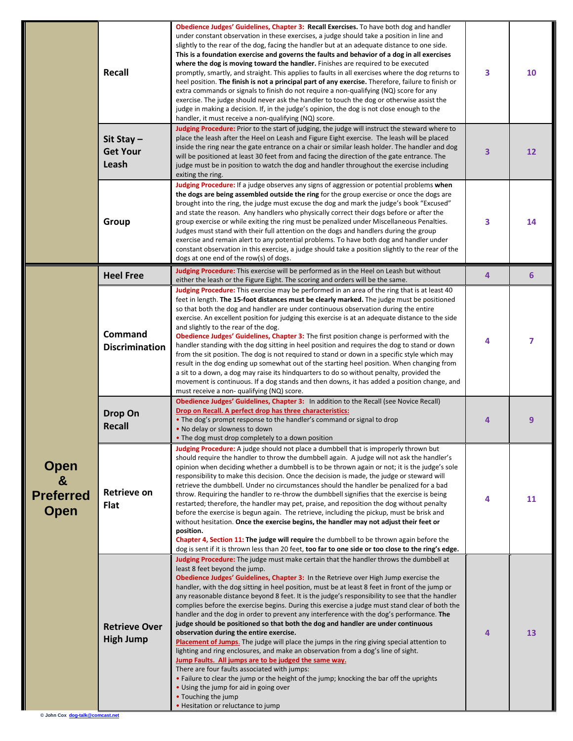|                                                     | <b>Recall</b>                            | Obedience Judges' Guidelines, Chapter 3: Recall Exercises. To have both dog and handler<br>under constant observation in these exercises, a judge should take a position in line and<br>slightly to the rear of the dog, facing the handler but at an adequate distance to one side.<br>This is a foundation exercise and governs the faults and behavior of a dog in all exercises<br>where the dog is moving toward the handler. Finishes are required to be executed<br>promptly, smartly, and straight. This applies to faults in all exercises where the dog returns to<br>heel position. The finish is not a principal part of any exercise. Therefore, failure to finish or<br>extra commands or signals to finish do not require a non-qualifying (NQ) score for any<br>exercise. The judge should never ask the handler to touch the dog or otherwise assist the<br>judge in making a decision. If, in the judge's opinion, the dog is not close enough to the<br>handler, it must receive a non-qualifying (NQ) score.                                                                                                                                                                                                                  | 3 | 10              |
|-----------------------------------------------------|------------------------------------------|---------------------------------------------------------------------------------------------------------------------------------------------------------------------------------------------------------------------------------------------------------------------------------------------------------------------------------------------------------------------------------------------------------------------------------------------------------------------------------------------------------------------------------------------------------------------------------------------------------------------------------------------------------------------------------------------------------------------------------------------------------------------------------------------------------------------------------------------------------------------------------------------------------------------------------------------------------------------------------------------------------------------------------------------------------------------------------------------------------------------------------------------------------------------------------------------------------------------------------------------------|---|-----------------|
|                                                     | Sit Stay-<br><b>Get Your</b><br>Leash    | Judging Procedure: Prior to the start of judging, the judge will instruct the steward where to<br>place the leash after the Heel on Leash and Figure Eight exercise. The leash will be placed<br>inside the ring near the gate entrance on a chair or similar leash holder. The handler and dog<br>will be positioned at least 30 feet from and facing the direction of the gate entrance. The<br>judge must be in position to watch the dog and handler throughout the exercise including<br>exiting the ring.                                                                                                                                                                                                                                                                                                                                                                                                                                                                                                                                                                                                                                                                                                                                   | 3 | 12              |
|                                                     | Group                                    | Judging Procedure: If a judge observes any signs of aggression or potential problems when<br>the dogs are being assembled outside the ring for the group exercise or once the dogs are<br>brought into the ring, the judge must excuse the dog and mark the judge's book "Excused"<br>and state the reason. Any handlers who physically correct their dogs before or after the<br>group exercise or while exiting the ring must be penalized under Miscellaneous Penalties.<br>Judges must stand with their full attention on the dogs and handlers during the group<br>exercise and remain alert to any potential problems. To have both dog and handler under<br>constant observation in this exercise, a judge should take a position slightly to the rear of the<br>dogs at one end of the row(s) of dogs.                                                                                                                                                                                                                                                                                                                                                                                                                                    | 3 | 14              |
|                                                     | <b>Heel Free</b>                         | Judging Procedure: This exercise will be performed as in the Heel on Leash but without<br>either the leash or the Figure Eight. The scoring and orders will be the same.                                                                                                                                                                                                                                                                                                                                                                                                                                                                                                                                                                                                                                                                                                                                                                                                                                                                                                                                                                                                                                                                          | 4 | $6\phantom{1}6$ |
| <b>Open</b><br>&<br><b>Preferred</b><br><b>Open</b> | Command<br><b>Discrimination</b>         | Judging Procedure: This exercise may be performed in an area of the ring that is at least 40<br>feet in length. The 15-foot distances must be clearly marked. The judge must be positioned<br>so that both the dog and handler are under continuous observation during the entire<br>exercise. An excellent position for judging this exercise is at an adequate distance to the side<br>and slightly to the rear of the dog.<br>Obedience Judges' Guidelines, Chapter 3: The first position change is performed with the<br>handler standing with the dog sitting in heel position and requires the dog to stand or down<br>from the sit position. The dog is not required to stand or down in a specific style which may<br>result in the dog ending up somewhat out of the starting heel position. When changing from<br>a sit to a down, a dog may raise its hindquarters to do so without penalty, provided the<br>movement is continuous. If a dog stands and then downs, it has added a position change, and<br>must receive a non- qualifying (NQ) score.                                                                                                                                                                                 | 4 | 7               |
|                                                     | Drop On<br><b>Recall</b>                 | Obedience Judges' Guidelines, Chapter 3: In addition to the Recall (see Novice Recall)<br>Drop on Recall. A perfect drop has three characteristics:<br>• The dog's prompt response to the handler's command or signal to drop<br>. No delay or slowness to down<br>. The dog must drop completely to a down position                                                                                                                                                                                                                                                                                                                                                                                                                                                                                                                                                                                                                                                                                                                                                                                                                                                                                                                              | 4 | 9               |
|                                                     | <b>Retrieve on</b><br><b>Flat</b>        | <b>Judging Procedure:</b> A judge should not place a dumbbell that is improperly thrown but<br>should require the handler to throw the dumbbell again. A judge will not ask the handler's<br>opinion when deciding whether a dumbbell is to be thrown again or not; it is the judge's sole<br>responsibility to make this decision. Once the decision is made, the judge or steward will<br>retrieve the dumbbell. Under no circumstances should the handler be penalized for a bad<br>throw. Requiring the handler to re-throw the dumbbell signifies that the exercise is being<br>restarted; therefore, the handler may pet, praise, and reposition the dog without penalty<br>before the exercise is begun again. The retrieve, including the pickup, must be brisk and<br>without hesitation. Once the exercise begins, the handler may not adjust their feet or<br>position.<br>Chapter 4, Section 11: The judge will require the dumbbell to be thrown again before the<br>dog is sent if it is thrown less than 20 feet, too far to one side or too close to the ring's edge.                                                                                                                                                             | 4 | 11              |
|                                                     | <b>Retrieve Over</b><br><b>High Jump</b> | Judging Procedure: The judge must make certain that the handler throws the dumbbell at<br>least 8 feet beyond the jump.<br>Obedience Judges' Guidelines, Chapter 3: In the Retrieve over High Jump exercise the<br>handler, with the dog sitting in heel position, must be at least 8 feet in front of the jump or<br>any reasonable distance beyond 8 feet. It is the judge's responsibility to see that the handler<br>complies before the exercise begins. During this exercise a judge must stand clear of both the<br>handler and the dog in order to prevent any interference with the dog's performance. The<br>judge should be positioned so that both the dog and handler are under continuous<br>observation during the entire exercise.<br>Placement of Jumps. The judge will place the jumps in the ring giving special attention to<br>lighting and ring enclosures, and make an observation from a dog's line of sight.<br>Jump Faults. All jumps are to be judged the same way.<br>There are four faults associated with jumps:<br>. Failure to clear the jump or the height of the jump; knocking the bar off the uprights<br>• Using the jump for aid in going over<br>• Touching the jump<br>· Hesitation or reluctance to jump | 4 | 13              |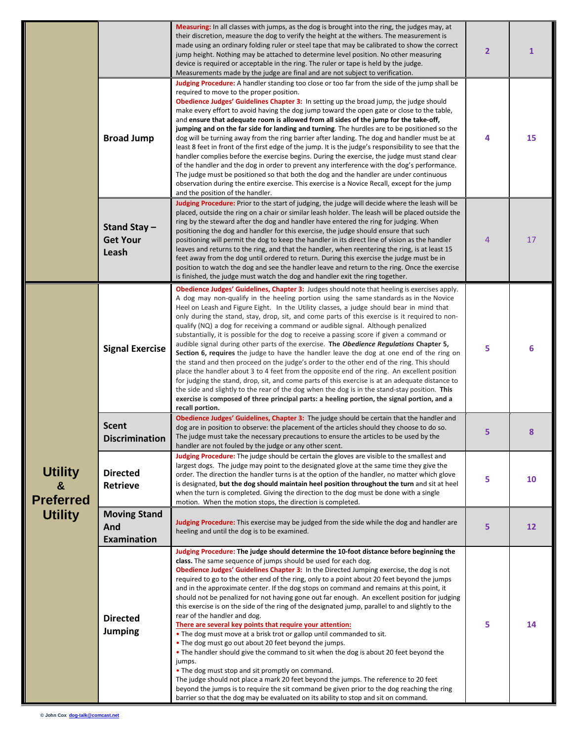|                                                                  |                                                  | <b>Measuring:</b> In all classes with jumps, as the dog is brought into the ring, the judges may, at<br>their discretion, measure the dog to verify the height at the withers. The measurement is<br>made using an ordinary folding ruler or steel tape that may be calibrated to show the correct<br>jump height. Nothing may be attached to determine level position. No other measuring<br>device is required or acceptable in the ring. The ruler or tape is held by the judge.<br>Measurements made by the judge are final and are not subject to verification.                                                                                                                                                                                                                                                                                                                                                                                                                                                                                                                                                                                                                                                                                                                                                     |                | $\mathbf{1}$ |
|------------------------------------------------------------------|--------------------------------------------------|--------------------------------------------------------------------------------------------------------------------------------------------------------------------------------------------------------------------------------------------------------------------------------------------------------------------------------------------------------------------------------------------------------------------------------------------------------------------------------------------------------------------------------------------------------------------------------------------------------------------------------------------------------------------------------------------------------------------------------------------------------------------------------------------------------------------------------------------------------------------------------------------------------------------------------------------------------------------------------------------------------------------------------------------------------------------------------------------------------------------------------------------------------------------------------------------------------------------------------------------------------------------------------------------------------------------------|----------------|--------------|
|                                                                  | <b>Broad Jump</b>                                | Judging Procedure: A handler standing too close or too far from the side of the jump shall be<br>required to move to the proper position.<br>Obedience Judges' Guidelines Chapter 3: In setting up the broad jump, the judge should<br>make every effort to avoid having the dog jump toward the open gate or close to the table,<br>and ensure that adequate room is allowed from all sides of the jump for the take-off,<br>jumping and on the far side for landing and turning. The hurdles are to be positioned so the<br>dog will be turning away from the ring barrier after landing. The dog and handler must be at<br>least 8 feet in front of the first edge of the jump. It is the judge's responsibility to see that the<br>handler complies before the exercise begins. During the exercise, the judge must stand clear<br>of the handler and the dog in order to prevent any interference with the dog's performance.<br>The judge must be positioned so that both the dog and the handler are under continuous<br>observation during the entire exercise. This exercise is a Novice Recall, except for the jump<br>and the position of the handler.                                                                                                                                                        | 4              | 15           |
|                                                                  | Stand Stay -<br><b>Get Your</b><br>Leash         | Judging Procedure: Prior to the start of judging, the judge will decide where the leash will be<br>placed, outside the ring on a chair or similar leash holder. The leash will be placed outside the<br>ring by the steward after the dog and handler have entered the ring for judging. When<br>positioning the dog and handler for this exercise, the judge should ensure that such<br>positioning will permit the dog to keep the handler in its direct line of vision as the handler<br>leaves and returns to the ring, and that the handler, when reentering the ring, is at least 15<br>feet away from the dog until ordered to return. During this exercise the judge must be in<br>position to watch the dog and see the handler leave and return to the ring. Once the exercise<br>is finished, the judge must watch the dog and handler exit the ring together.                                                                                                                                                                                                                                                                                                                                                                                                                                                | $\overline{4}$ | 17           |
| <b>Utility</b><br>$\alpha$<br><b>Preferred</b><br><b>Utility</b> | <b>Signal Exercise</b>                           | Obedience Judges' Guidelines, Chapter 3: Judges should note that heeling is exercises apply.<br>A dog may non-qualify in the heeling portion using the same standards as in the Novice<br>Heel on Leash and Figure Eight. In the Utility classes, a judge should bear in mind that<br>only during the stand, stay, drop, sit, and come parts of this exercise is it required to non-<br>qualify (NQ) a dog for receiving a command or audible signal. Although penalized<br>substantially, it is possible for the dog to receive a passing score if given a command or<br>audible signal during other parts of the exercise. The Obedience Regulations Chapter 5,<br>Section 6, requires the judge to have the handler leave the dog at one end of the ring on<br>the stand and then proceed on the judge's order to the other end of the ring. This should<br>place the handler about 3 to 4 feet from the opposite end of the ring. An excellent position<br>for judging the stand, drop, sit, and come parts of this exercise is at an adequate distance to<br>the side and slightly to the rear of the dog when the dog is in the stand-stay position. This<br>exercise is composed of three principal parts: a heeling portion, the signal portion, and a<br>recall portion.                                        | 5              | 6            |
|                                                                  | <b>Scent</b><br><b>Discrimination</b>            | Obedience Judges' Guidelines, Chapter 3: The judge should be certain that the handler and<br>dog are in position to observe: the placement of the articles should they choose to do so.<br>The judge must take the necessary precautions to ensure the articles to be used by the<br>handler are not fouled by the judge or any other scent.                                                                                                                                                                                                                                                                                                                                                                                                                                                                                                                                                                                                                                                                                                                                                                                                                                                                                                                                                                             | 5              | 8            |
|                                                                  | <b>Directed</b><br><b>Retrieve</b>               | Judging Procedure: The judge should be certain the gloves are visible to the smallest and<br>largest dogs. The judge may point to the designated glove at the same time they give the<br>order. The direction the handler turns is at the option of the handler, no matter which glove<br>is designated, but the dog should maintain heel position throughout the turn and sit at heel<br>when the turn is completed. Giving the direction to the dog must be done with a single<br>motion. When the motion stops, the direction is completed.                                                                                                                                                                                                                                                                                                                                                                                                                                                                                                                                                                                                                                                                                                                                                                           | 5              | 10           |
|                                                                  | <b>Moving Stand</b><br>And<br><b>Examination</b> | Judging Procedure: This exercise may be judged from the side while the dog and handler are<br>heeling and until the dog is to be examined.                                                                                                                                                                                                                                                                                                                                                                                                                                                                                                                                                                                                                                                                                                                                                                                                                                                                                                                                                                                                                                                                                                                                                                               | 5              | 12           |
|                                                                  | <b>Directed</b><br><b>Jumping</b>                | Judging Procedure: The judge should determine the 10-foot distance before beginning the<br>class. The same sequence of jumps should be used for each dog.<br>Obedience Judges' Guidelines Chapter 3: In the Directed Jumping exercise, the dog is not<br>required to go to the other end of the ring, only to a point about 20 feet beyond the jumps<br>and in the approximate center. If the dog stops on command and remains at this point, it<br>should not be penalized for not having gone out far enough. An excellent position for judging<br>this exercise is on the side of the ring of the designated jump, parallel to and slightly to the<br>rear of the handler and dog.<br>There are several key points that require your attention:<br>. The dog must move at a brisk trot or gallop until commanded to sit.<br>• The dog must go out about 20 feet beyond the jumps.<br>• The handler should give the command to sit when the dog is about 20 feet beyond the<br>jumps.<br>• The dog must stop and sit promptly on command.<br>The judge should not place a mark 20 feet beyond the jumps. The reference to 20 feet<br>beyond the jumps is to require the sit command be given prior to the dog reaching the ring<br>barrier so that the dog may be evaluated on its ability to stop and sit on command. | 5              | 14           |